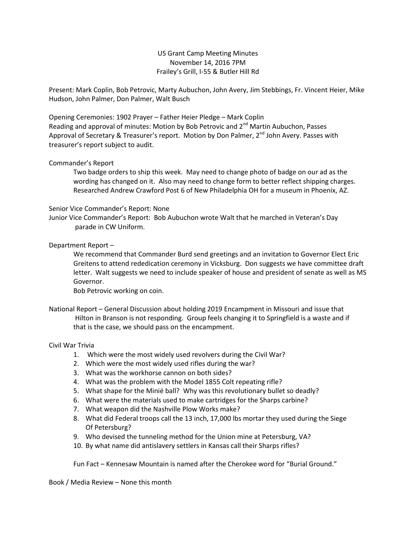US Grant Camp Meeting Minutes November 14, 2016 7PM Frailey's Grill, I-55 & Butler Hill Rd

Present: Mark Coplin, Bob Petrovic, Marty Aubuchon, John Avery, Jim Stebbings, Fr. Vincent Heier, Mike Hudson, John Palmer, Don Palmer, Walt Busch

Opening Ceremonies: 1902 Prayer – Father Heier Pledge – Mark Coplin Reading and approval of minutes: Motion by Bob Petrovic and  $2^{nd}$  Martin Aubuchon, Passes Approval of Secretary & Treasurer's report. Motion by Don Palmer,  $2^{nd}$  John Avery. Passes with treasurer's report subject to audit.

## Commander's Report

Two badge orders to ship this week. May need to change photo of badge on our ad as the wording has changed on it. Also may need to change form to better reflect shipping charges. Researched Andrew Crawford Post 6 of New Philadelphia OH for a museum in Phoenix, AZ.

## Senior Vice Commander's Report: None

Junior Vice Commander's Report: Bob Aubuchon wrote Walt that he marched in Veteran's Day parade in CW Uniform.

## Department Report –

We recommend that Commander Burd send greetings and an invitation to Governor Elect Eric Greitens to attend rededication ceremony in Vicksburg. Don suggests we have committee draft letter. Walt suggests we need to include speaker of house and president of senate as well as MS Governor.

Bob Petrovic working on coin.

National Report – General Discussion about holding 2019 Encampment in Missouri and issue that Hilton in Branson is not responding. Group feels changing it to Springfield is a waste and if that is the case, we should pass on the encampment.

## Civil War Trivia

- 1. Which were the most widely used revolvers during the Civil War?
- 2. Which were the most widely used rifles during the war?
- 3. What was the workhorse cannon on both sides?
- 4. What was the problem with the Model 1855 Colt repeating rifle?
- 5. What shape for the Minié ball? Why was this revolutionary bullet so deadly?
- 6. What were the materials used to make cartridges for the Sharps carbine?
- 7. What weapon did the Nashville Plow Works make?
- 8. What did Federal troops call the 13 inch, 17,000 lbs mortar they used during the Siege Of Petersburg?
- 9. Who devised the tunneling method for the Union mine at Petersburg, VA?
- 10. By what name did antislavery settlers in Kansas call their Sharps rifles?

Fun Fact – Kennesaw Mountain is named after the Cherokee word for "Burial Ground."

Book / Media Review – None this month